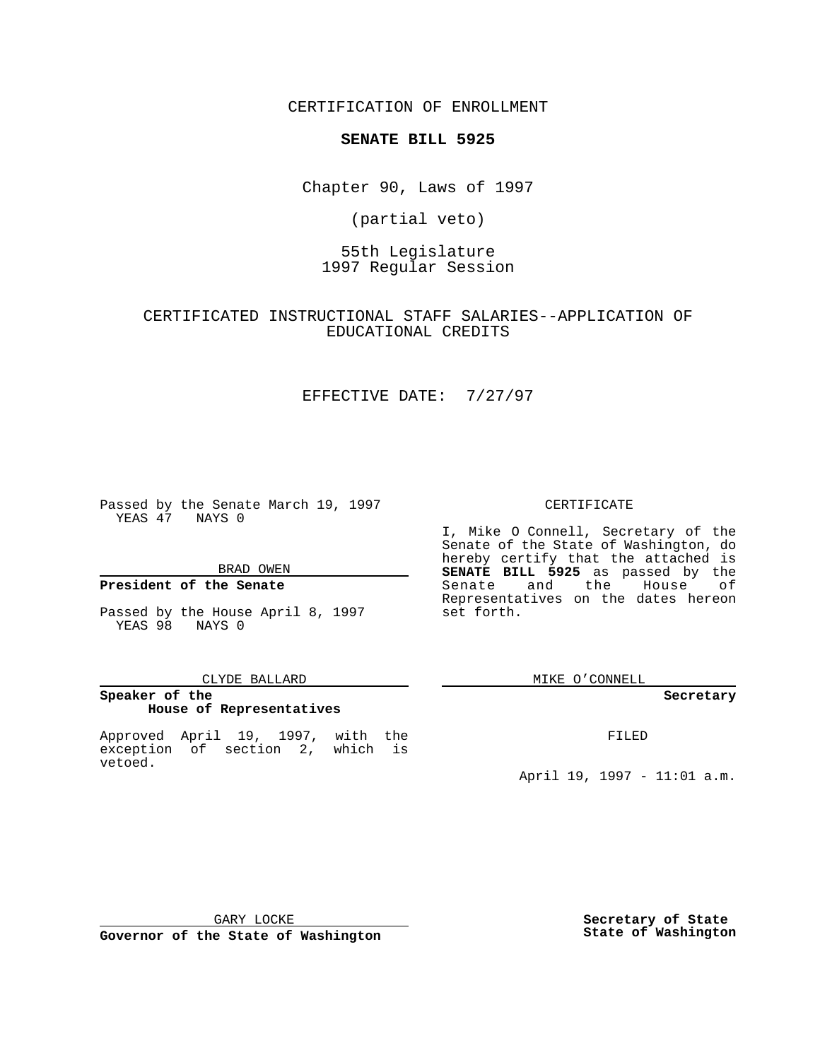CERTIFICATION OF ENROLLMENT

## **SENATE BILL 5925**

Chapter 90, Laws of 1997

(partial veto)

55th Legislature 1997 Regular Session

CERTIFICATED INSTRUCTIONAL STAFF SALARIES--APPLICATION OF EDUCATIONAL CREDITS

# EFFECTIVE DATE: 7/27/97

Passed by the Senate March 19, 1997 YEAS 47 NAYS 0

BRAD OWEN

### **President of the Senate**

Passed by the House April 8, 1997 YEAS 98 NAYS 0

#### CLYDE BALLARD

### **Speaker of the House of Representatives**

Approved April 19, 1997, with the exception of section 2, which is vetoed.

#### CERTIFICATE

I, Mike O Connell, Secretary of the Senate of the State of Washington, do hereby certify that the attached is **SENATE BILL 5925** as passed by the Senate and the House of Representatives on the dates hereon set forth.

MIKE O'CONNELL

#### **Secretary**

FILED

April 19, 1997 - 11:01 a.m.

GARY LOCKE

**Governor of the State of Washington**

**Secretary of State State of Washington**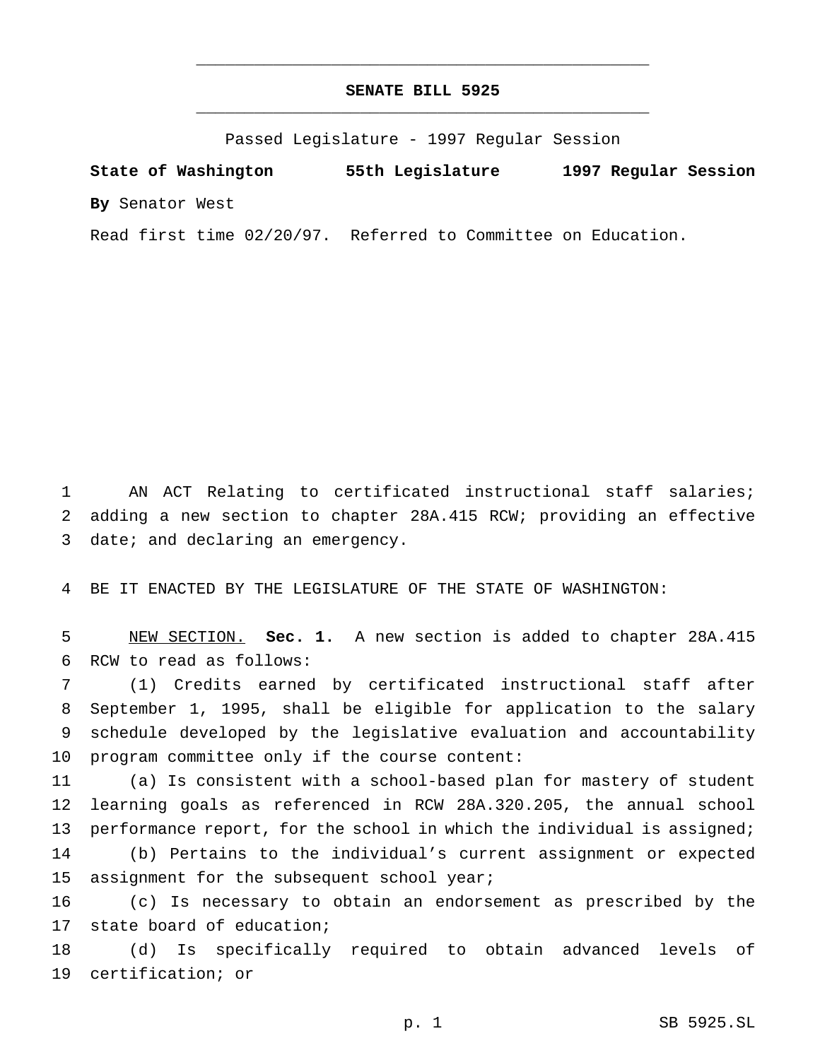## **SENATE BILL 5925** \_\_\_\_\_\_\_\_\_\_\_\_\_\_\_\_\_\_\_\_\_\_\_\_\_\_\_\_\_\_\_\_\_\_\_\_\_\_\_\_\_\_\_\_\_\_\_

\_\_\_\_\_\_\_\_\_\_\_\_\_\_\_\_\_\_\_\_\_\_\_\_\_\_\_\_\_\_\_\_\_\_\_\_\_\_\_\_\_\_\_\_\_\_\_

Passed Legislature - 1997 Regular Session

**State of Washington 55th Legislature 1997 Regular Session By** Senator West

Read first time 02/20/97. Referred to Committee on Education.

 AN ACT Relating to certificated instructional staff salaries; adding a new section to chapter 28A.415 RCW; providing an effective 3 date; and declaring an emergency.

BE IT ENACTED BY THE LEGISLATURE OF THE STATE OF WASHINGTON:

 NEW SECTION. **Sec. 1.** A new section is added to chapter 28A.415 RCW to read as follows:

 (1) Credits earned by certificated instructional staff after September 1, 1995, shall be eligible for application to the salary schedule developed by the legislative evaluation and accountability program committee only if the course content:

 (a) Is consistent with a school-based plan for mastery of student learning goals as referenced in RCW 28A.320.205, the annual school performance report, for the school in which the individual is assigned; (b) Pertains to the individual's current assignment or expected 15 assignment for the subsequent school year;

 (c) Is necessary to obtain an endorsement as prescribed by the state board of education;

 (d) Is specifically required to obtain advanced levels of certification; or